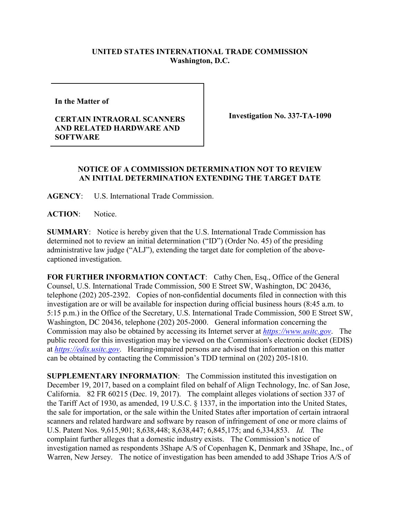## **UNITED STATES INTERNATIONAL TRADE COMMISSION Washington, D.C.**

**In the Matter of** 

## **CERTAIN INTRAORAL SCANNERS AND RELATED HARDWARE AND SOFTWARE**

**Investigation No. 337-TA-1090**

## **NOTICE OF A COMMISSION DETERMINATION NOT TO REVIEW AN INITIAL DETERMINATION EXTENDING THE TARGET DATE**

**AGENCY**: U.S. International Trade Commission.

**ACTION**: Notice.

**SUMMARY**: Notice is hereby given that the U.S. International Trade Commission has determined not to review an initial determination ("ID") (Order No. 45) of the presiding administrative law judge ("ALJ"), extending the target date for completion of the abovecaptioned investigation.

FOR FURTHER INFORMATION CONTACT: Cathy Chen, Esq., Office of the General Counsel, U.S. International Trade Commission, 500 E Street SW, Washington, DC 20436, telephone (202) 205-2392. Copies of non-confidential documents filed in connection with this investigation are or will be available for inspection during official business hours (8:45 a.m. to 5:15 p.m.) in the Office of the Secretary, U.S. International Trade Commission, 500 E Street SW, Washington, DC 20436, telephone (202) 205-2000. General information concerning the Commission may also be obtained by accessing its Internet server at *[https://www.usitc.gov](https://www.usitc.gov/)*. The public record for this investigation may be viewed on the Commission's electronic docket (EDIS) at *[https://edis.usitc.gov](https://edis.usitc.gov/)*. Hearing-impaired persons are advised that information on this matter can be obtained by contacting the Commission's TDD terminal on (202) 205-1810.

**SUPPLEMENTARY INFORMATION**: The Commission instituted this investigation on December 19, 2017, based on a complaint filed on behalf of Align Technology, Inc. of San Jose, California. 82 FR 60215 (Dec. 19, 2017). The complaint alleges violations of section 337 of the Tariff Act of 1930, as amended, 19 U.S.C. § 1337, in the importation into the United States, the sale for importation, or the sale within the United States after importation of certain intraoral scanners and related hardware and software by reason of infringement of one or more claims of U.S. Patent Nos. 9,615,901; 8,638,448; 8,638,447; 6,845,175; and 6,334,853.*Id.* The complaint further alleges that a domestic industry exists. The Commission's notice of investigation named as respondents 3Shape A/S of Copenhagen K, Denmark and 3Shape, Inc., of Warren, New Jersey. The notice of investigation has been amended to add 3Shape Trios A/S of